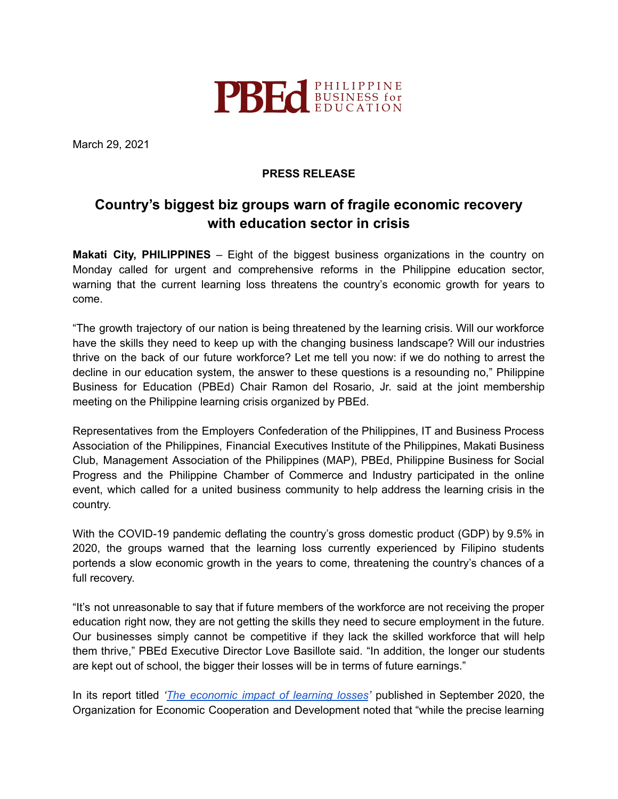

March 29, 2021

## **PRESS RELEASE**

## **Country's biggest biz groups warn of fragile economic recovery with education sector in crisis**

**Makati City, PHILIPPINES** – Eight of the biggest business organizations in the country on Monday called for urgent and comprehensive reforms in the Philippine education sector, warning that the current learning loss threatens the country's economic growth for years to come.

"The growth trajectory of our nation is being threatened by the learning crisis. Will our workforce have the skills they need to keep up with the changing business landscape? Will our industries thrive on the back of our future workforce? Let me tell you now: if we do nothing to arrest the decline in our education system, the answer to these questions is a resounding no," Philippine Business for Education (PBEd) Chair Ramon del Rosario, Jr. said at the joint membership meeting on the Philippine learning crisis organized by PBEd.

Representatives from the Employers Confederation of the Philippines, IT and Business Process Association of the Philippines, Financial Executives Institute of the Philippines, Makati Business Club, Management Association of the Philippines (MAP), PBEd, Philippine Business for Social Progress and the Philippine Chamber of Commerce and Industry participated in the online event, which called for a united business community to help address the learning crisis in the country.

With the COVID-19 pandemic deflating the country's gross domestic product (GDP) by 9.5% in 2020, the groups warned that the learning loss currently experienced by Filipino students portends a slow economic growth in the years to come, threatening the country's chances of a full recovery.

"It's not unreasonable to say that if future members of the workforce are not receiving the proper education right now, they are not getting the skills they need to secure employment in the future. Our businesses simply cannot be competitive if they lack the skilled workforce that will help them thrive," PBEd Executive Director Love Basillote said. "In addition, the longer our students are kept out of school, the bigger their losses will be in terms of future earnings."

In its report titled *'The [economic](https://www.oecd.org/education/The-economic-impacts-of-coronavirus-covid-19-learning-losses.pdf) impact of learning losses'* published in September 2020, the Organization for Economic Cooperation and Development noted that "while the precise learning